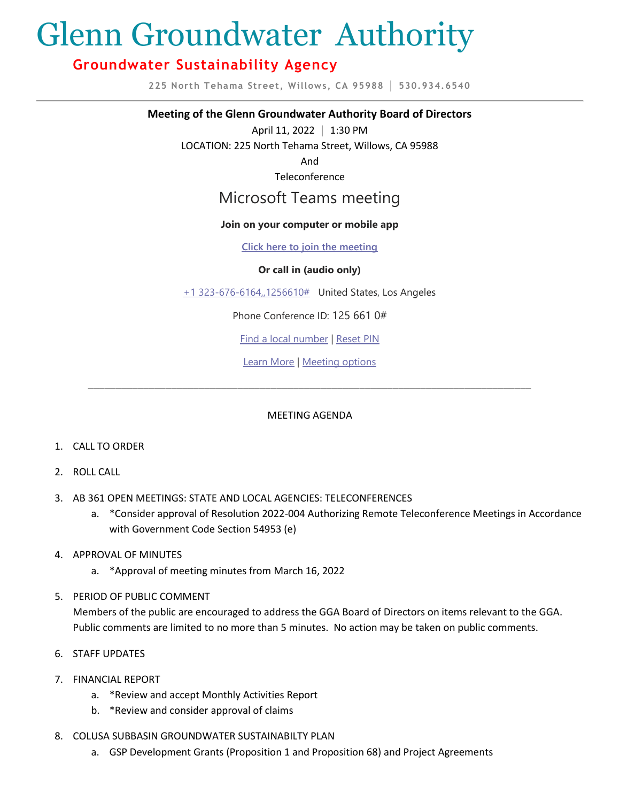# Glenn Groundwater Authority

# **Groundwater Sustainability Agency**

**225 North Tehama Street, Willows, CA 95988 │ 530.934.6540**

## **Meeting of the Glenn Groundwater Authority Board of Directors**

April 11, 2022 **│** 1:30 PM

LOCATION: 225 North Tehama Street, Willows, CA 95988

And

Teleconference

# Microsoft Teams meeting

## **Join on your computer or mobile app**

**Click here to join the meeting**

## **Or call in (audio only)**

+1 323-676-6164,,1256610# United States, Los Angeles

Phone Conference ID: 125 661 0#

Find a local number | Reset PIN

Learn More | Meeting options

\_\_\_\_\_\_\_\_\_\_\_\_\_\_\_\_\_\_\_\_\_\_\_\_\_\_\_\_\_\_\_\_\_\_\_\_\_\_\_\_\_\_\_\_\_\_\_\_\_\_\_\_\_\_\_\_\_\_\_\_\_\_\_\_\_\_\_\_\_\_\_\_\_\_\_\_\_\_\_\_

# MEETING AGENDA

- 1. CALL TO ORDER
- 2. ROLL CALL
- 3. AB 361 OPEN MEETINGS: STATE AND LOCAL AGENCIES: TELECONFERENCES
	- a. \*Consider approval of Resolution 2022-004 Authorizing Remote Teleconference Meetings in Accordance with Government Code Section 54953 (e)
- 4. APPROVAL OF MINUTES
	- a. \*Approval of meeting minutes from March 16, 2022
- 5. PERIOD OF PUBLIC COMMENT

Members of the public are encouraged to address the GGA Board of Directors on items relevant to the GGA. Public comments are limited to no more than 5 minutes. No action may be taken on public comments.

- 6. STAFF UPDATES
- 7. FINANCIAL REPORT
	- a. \*Review and accept Monthly Activities Report
	- b. \*Review and consider approval of claims
- 8. COLUSA SUBBASIN GROUNDWATER SUSTAINABILTY PLAN
	- a. GSP Development Grants (Proposition 1 and Proposition 68) and Project Agreements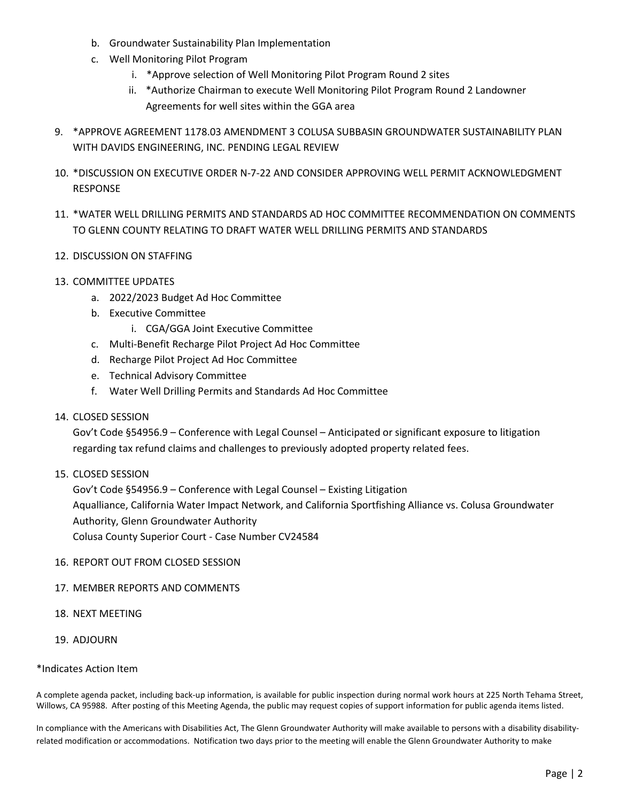- b. Groundwater Sustainability Plan Implementation
- c. Well Monitoring Pilot Program
	- i. \*Approve selection of Well Monitoring Pilot Program Round 2 sites
	- ii. \*Authorize Chairman to execute Well Monitoring Pilot Program Round 2 Landowner Agreements for well sites within the GGA area
- 9. \*APPROVE AGREEMENT 1178.03 AMENDMENT 3 COLUSA SUBBASIN GROUNDWATER SUSTAINABILITY PLAN WITH DAVIDS ENGINEERING, INC. PENDING LEGAL REVIEW
- 10. \*DISCUSSION ON EXECUTIVE ORDER N-7-22 AND CONSIDER APPROVING WELL PERMIT ACKNOWLEDGMENT RESPONSE
- 11. \*WATER WELL DRILLING PERMITS AND STANDARDS AD HOC COMMITTEE RECOMMENDATION ON COMMENTS TO GLENN COUNTY RELATING TO DRAFT WATER WELL DRILLING PERMITS AND STANDARDS

## 12. DISCUSSION ON STAFFING

- 13. COMMITTEE UPDATES
	- a. 2022/2023 Budget Ad Hoc Committee
	- b. Executive Committee
		- i. CGA/GGA Joint Executive Committee
	- c. Multi-Benefit Recharge Pilot Project Ad Hoc Committee
	- d. Recharge Pilot Project Ad Hoc Committee
	- e. Technical Advisory Committee
	- f. Water Well Drilling Permits and Standards Ad Hoc Committee

#### 14. CLOSED SESSION

Gov't Code §54956.9 – Conference with Legal Counsel – Anticipated or significant exposure to litigation regarding tax refund claims and challenges to previously adopted property related fees.

15. CLOSED SESSION

Gov't Code §54956.9 – Conference with Legal Counsel – Existing Litigation Aqualliance, California Water Impact Network, and California Sportfishing Alliance vs. Colusa Groundwater Authority, Glenn Groundwater Authority Colusa County Superior Court - Case Number CV24584

#### 16. REPORT OUT FROM CLOSED SESSION

#### 17. MEMBER REPORTS AND COMMENTS

- 18. NEXT MEETING
- 19. ADJOURN

#### \*Indicates Action Item

A complete agenda packet, including back-up information, is available for public inspection during normal work hours at 225 North Tehama Street, Willows, CA 95988. After posting of this Meeting Agenda, the public may request copies of support information for public agenda items listed.

In compliance with the Americans with Disabilities Act, The Glenn Groundwater Authority will make available to persons with a disability disabilityrelated modification or accommodations. Notification two days prior to the meeting will enable the Glenn Groundwater Authority to make